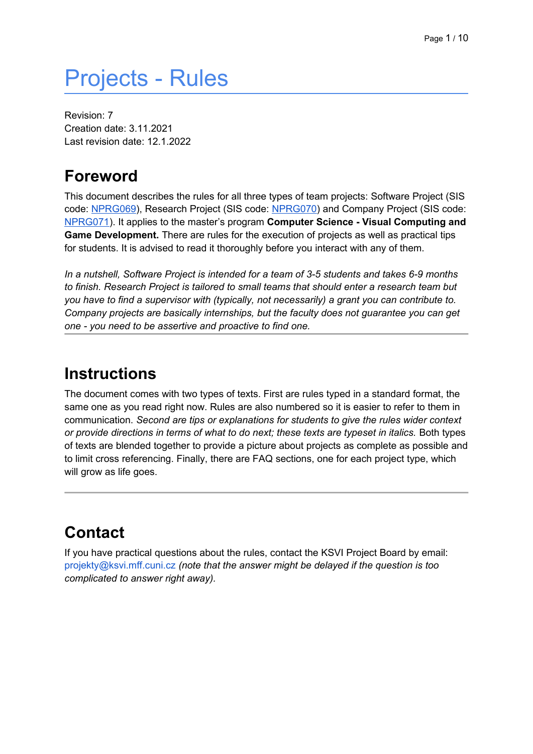# Projects - Rules

Revision: 7 Creation date: 3.11.2021 Last revision date: 12.1.2022

## <span id="page-0-0"></span>**Foreword**

This document describes the rules for all three types of team projects: Software Project (SIS code: NPRG069), Research Project (SIS code: NPRG070) and Company Project (SIS code: NPRG071). It applies to the master's program **Computer Science - Visual Computing and Game Development.** There are rules for the execution of projects as well as practical tips for students. It is advised to read it thoroughly before you interact with any of them.

*In a nutshell, Software Project is intended for a team of 3-5 students and takes 6-9 months to finish. Research Project is tailored to small teams that should enter a research team but you have to find a supervisor with (typically, not necessarily) a grant you can contribute to. Company projects are basically internships, but the faculty does not guarantee you can get one - you need to be assertive and proactive to find one.*

#### <span id="page-0-1"></span>**Instructions**

The document comes with two types of texts. First are rules typed in a standard format, the same one as you read right now. Rules are also numbered so it is easier to refer to them in communication. *Second are tips or explanations for students to give the rules wider context or provide directions in terms of what to do next; these texts are typeset in italics.* Both types of texts are blended together to provide a picture about projects as complete as possible and to limit cross referencing. Finally, there are FAQ sections, one for each project type, which will grow as life goes.

# <span id="page-0-2"></span>**Contact**

If you have practical questions about the rules, contact the KSVI Project Board by email: projekty@ksvi.mff.cuni.cz *(note that the answer might be delayed if the question is too complicated to answer right away).*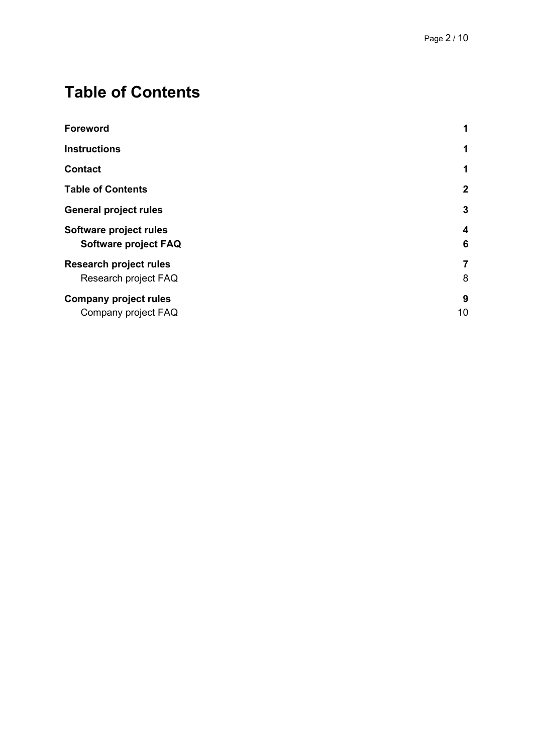# <span id="page-1-0"></span>**Table of Contents**

| <b>Foreword</b><br><b>Instructions</b>                | $\mathbf 1$         |
|-------------------------------------------------------|---------------------|
|                                                       | 1                   |
| <b>Contact</b>                                        | 1                   |
| <b>Table of Contents</b>                              | $\overline{2}$      |
| <b>General project rules</b>                          | 3                   |
| Software project rules<br>Software project FAQ        | 4<br>6              |
| <b>Research project rules</b><br>Research project FAQ | $\overline{7}$<br>8 |
| <b>Company project rules</b><br>Company project FAQ   | 9<br>10             |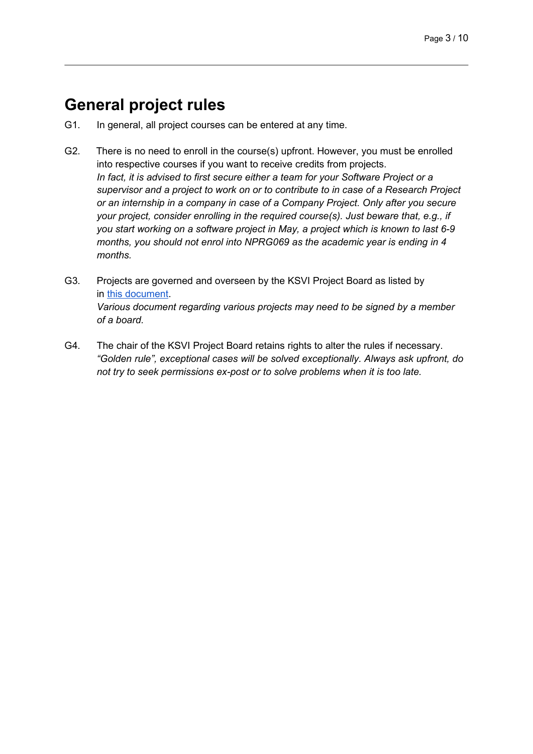## <span id="page-2-0"></span>**General project rules**

- G1. In general, all project courses can be entered at any time.
- G2. There is no need to enroll in the course(s) upfront. However, you must be enrolled into respective courses if you want to receive credits from projects. *In fact, it is advised to first secure either a team for your Software Project or a supervisor and a project to work on or to contribute to in case of a Research Project or an internship in a company in case of a Company Project. Only after you secure your project, consider enrolling in the required course(s). Just beware that, e.g., if you start working on a software project in May, a project which is known to last 6-9 months, you should not enrol into NPRG069 as the academic year is ending in 4 months.*
- G3. Projects are governed and overseen by the KSVI Project Board as listed by in this document. *Various document regarding various projects may need to be signed by a member of a board.*
- G4. The chair of the KSVI Project Board retains rights to alter the rules if necessary. *"Golden rule", exceptional cases will be solved exceptionally. Always ask upfront, do not try to seek permissions ex-post or to solve problems when it is too late.*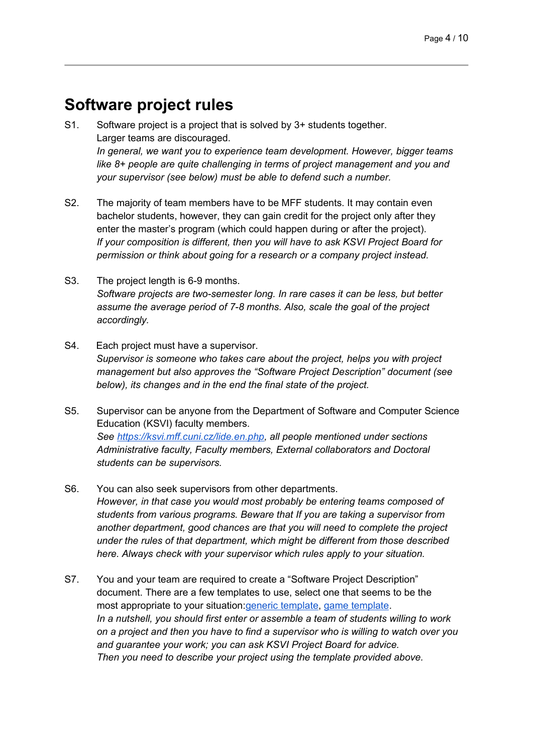#### <span id="page-3-0"></span>**Software project rules**

- S1. Software project is a project that is solved by 3+ students together. Larger teams are discouraged. *In general, we want you to experience team development. However, bigger teams like 8+ people are quite challenging in terms of project management and you and your supervisor (see below) must be able to defend such a number.*
- S2. The majority of team members have to be MFF students. It may contain even bachelor students, however, they can gain credit for the project only after they enter the master's program (which could happen during or after the project). *If your composition is different, then you will have to ask KSVI Project Board for permission or think about going for a research or a company project instead.*
- S3. The project length is 6-9 months. *Software projects are two-semester long. In rare cases it can be less, but better assume the average period of 7-8 months. Also, scale the goal of the project accordingly.*
- S4. Each project must have a supervisor. *Supervisor is someone who takes care about the project, helps you with project management but also approves the "Software Project Description" document (see below), its changes and in the end the final state of the project.*
- S5. Supervisor can be anyone from the Department of Software and Computer Science Education (KSVI) faculty members. *See https://ksvi.mff.cuni.cz/lide.en.php, all people mentioned under sections Administrative faculty, Faculty members, External collaborators and Doctoral students can be supervisors.*
- S6. You can also seek supervisors from other departments. *However, in that case you would most probably be entering teams composed of students from various programs. Beware that If you are taking a supervisor from another department, good chances are that you will need to complete the project under the rules of that department, which might be different from those described here. Always check with your supervisor which rules apply to your situation.*
- S7. You and your team are required to create a "Software Project Description" document. There are a few templates to use, select one that seems to be the most appropriate to your situation:generic template, game template. *In a nutshell, you should first enter or assemble a team of students willing to work on a project and then you have to find a supervisor who is willing to watch over you and guarantee your work; you can ask KSVI Project Board for advice. Then you need to describe your project using the template provided above.*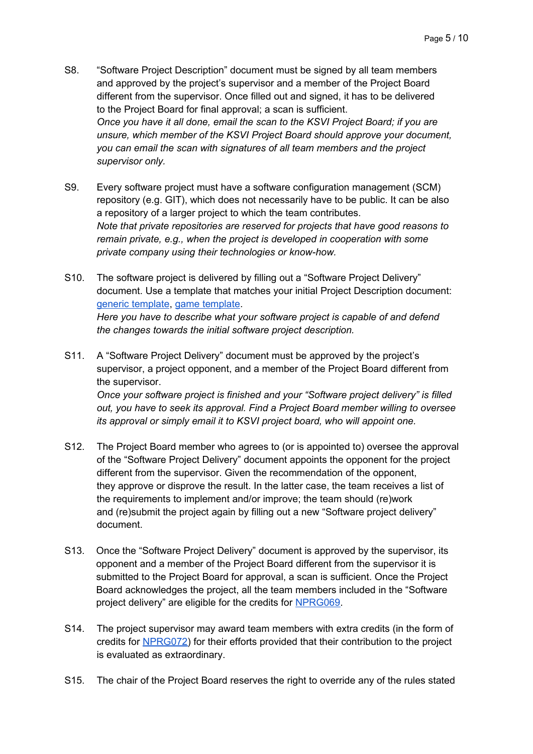- S8. "Software Project Description" document must be signed by all team members and approved by the project's supervisor and a member of the Project Board different from the supervisor. Once filled out and signed, it has to be delivered to the Project Board for final approval; a scan is sufficient. *Once you have it all done, email the scan to the KSVI Project Board; if you are unsure, which member of the KSVI Project Board should approve your document, you can email the scan with signatures of all team members and the project supervisor only.*
- S9. Every software project must have a software configuration management (SCM) repository (e.g. GIT), which does not necessarily have to be public. It can be also a repository of a larger project to which the team contributes. *Note that private repositories are reserved for projects that have good reasons to remain private, e.g., when the project is developed in cooperation with some private company using their technologies or know-how.*
- S10. The software project is delivered by filling out a "Software Project Delivery" document. Use a template that matches your initial Project Description document: generic template, game template. *Here you have to describe what your software project is capable of and defend the changes towards the initial software project description.*
- S11. A "Software Project Delivery" document must be approved by the project's supervisor, a project opponent, and a member of the Project Board different from the supervisor. *Once your software project is finished and your "Software project delivery" is filled out, you have to seek its approval. Find a Project Board member willing to oversee its approval or simply email it to KSVI project board, who will appoint one.*
- S12. The Project Board member who agrees to (or is appointed to) oversee the approval of the "Software Project Delivery" document appoints the opponent for the project different from the supervisor. Given the recommendation of the opponent, they approve or disprove the result. In the latter case, the team receives a list of the requirements to implement and/or improve; the team should (re)work and (re)submit the project again by filling out a new "Software project delivery" document.
- S13. Once the "Software Project Delivery" document is approved by the supervisor, its opponent and a member of the Project Board different from the supervisor it is submitted to the Project Board for approval, a scan is sufficient. Once the Project Board acknowledges the project, all the team members included in the "Software project delivery" are eligible for the credits for NPRG069.
- S14. The project supervisor may award team members with extra credits (in the form of credits for NPRG072) for their efforts provided that their contribution to the project is evaluated as extraordinary.
- S15. The chair of the Project Board reserves the right to override any of the rules stated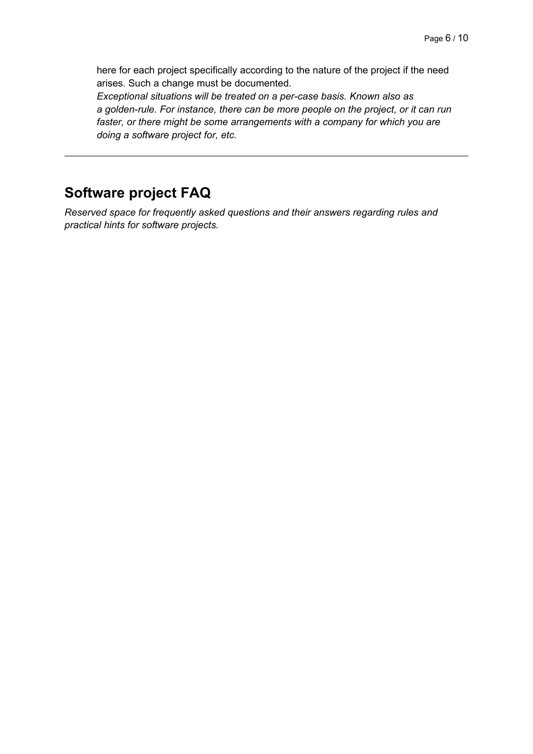here for each project specifically according to the nature of the project if the need arises. Such a change must be documented.

*Exceptional situations will be treated on a per-case basis. Known also as a golden-rule. For instance, there can be more people on the project, or it can run faster, or there might be some arrangements with a company for which you are doing a software project for, etc.*

#### <span id="page-5-0"></span>**Software project FAQ**

*Reserved space for frequently asked questions and their answers regarding rules and practical hints for software projects.*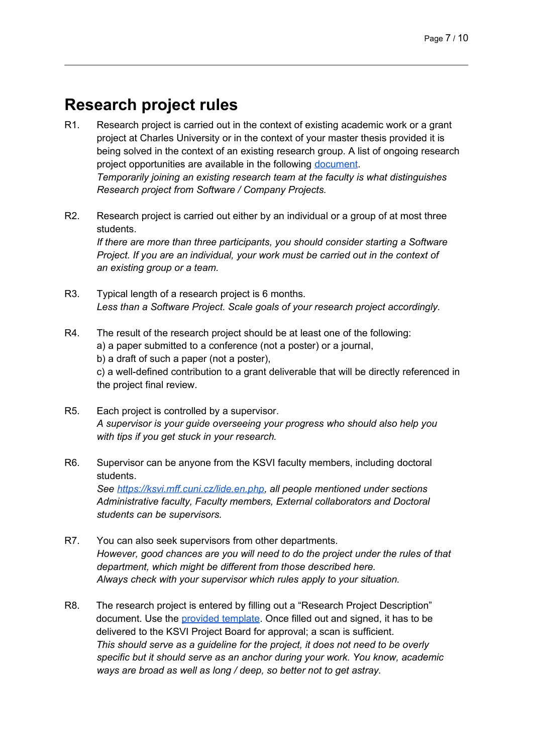#### <span id="page-6-0"></span>**Research project rules**

- R1. Research project is carried out in the context of existing academic work or a grant project at Charles University or in the context of your master thesis provided it is being solved in the context of an existing research group. A list of ongoing research project opportunities are available in the following document. *Temporarily joining an existing research team at the faculty is what distinguishes Research project from Software / Company Projects.*
- R2. Research project is carried out either by an individual or a group of at most three students. *If there are more than three participants, you should consider starting a Software Project. If you are an individual, your work must be carried out in the context of an existing group or a team.*
- R3. Typical length of a research project is 6 months. *Less than a Software Project. Scale goals of your research project accordingly.*
- R4. The result of the research project should be at least one of the following: a) a paper submitted to a conference (not a poster) or a journal, b) a draft of such a paper (not a poster), c) a well-defined contribution to a grant deliverable that will be directly referenced in the project final review.
- R5. Each project is controlled by a supervisor. *A supervisor is your guide overseeing your progress who should also help you with tips if you get stuck in your research.*
- R6. Supervisor can be anyone from the KSVI faculty members, including doctoral students. *See https://ksvi.mff.cuni.cz/lide.en.php, all people mentioned under sections Administrative faculty, Faculty members, External collaborators and Doctoral students can be supervisors.*
- R7. You can also seek supervisors from other departments. *However, good chances are you will need to do the project under the rules of that department, which might be different from those described here. Always check with your supervisor which rules apply to your situation.*
- R8. The research project is entered by filling out a "Research Project Description" document. Use the provided template. Once filled out and signed, it has to be delivered to the KSVI Project Board for approval; a scan is sufficient. *This should serve as a guideline for the project, it does not need to be overly specific but it should serve as an anchor during your work. You know, academic ways are broad as well as long / deep, so better not to get astray.*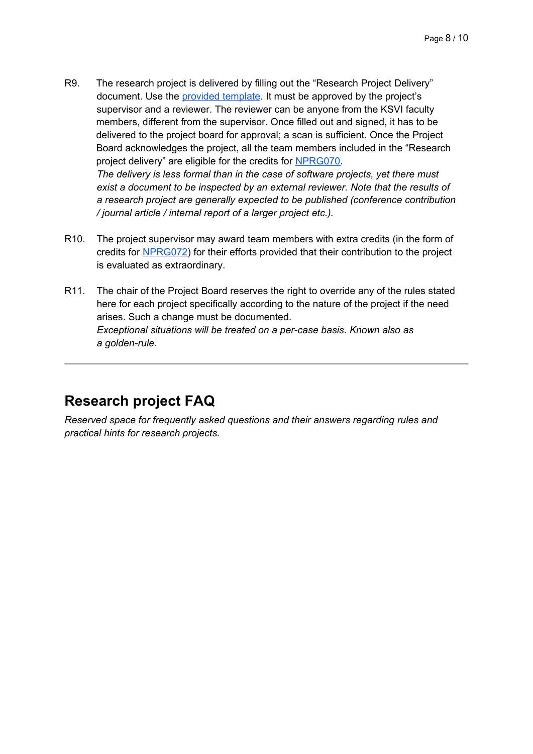- R9. The research project is delivered by filling out the "Research Project Delivery" document. Use the provided template. It must be approved by the project's supervisor and a reviewer. The reviewer can be anyone from the KSVI faculty members, different from the supervisor. Once filled out and signed, it has to be delivered to the project board for approval; a scan is sufficient. Once the Project Board acknowledges the project, all the team members included in the "Research project delivery" are eligible for the credits for NPRG070. *The delivery is less formal than in the case of software projects, yet there must exist a document to be inspected by an external reviewer. Note that the results of a research project are generally expected to be published (conference contribution / journal article / internal report of a larger project etc.).*
- R10. The project supervisor may award team members with extra credits (in the form of credits for NPRG072) for their efforts provided that their contribution to the project is evaluated as extraordinary.
- R11. The chair of the Project Board reserves the right to override any of the rules stated here for each project specifically according to the nature of the project if the need arises. Such a change must be documented. *Exceptional situations will be treated on a per-case basis. Known also as a golden-rule.*

#### <span id="page-7-0"></span>**Research project FAQ**

*Reserved space for frequently asked questions and their answers regarding rules and practical hints for research projects.*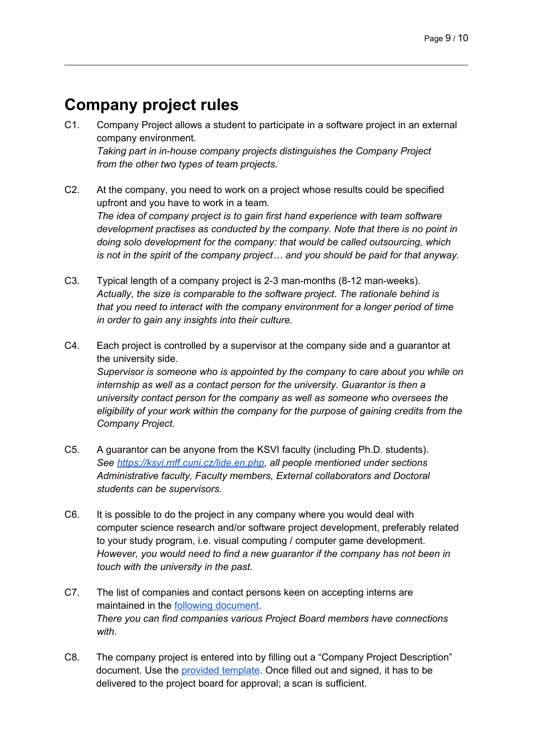## <span id="page-8-0"></span>**Company project rules**

- C1. Company Project allows a student to participate in a software project in an external company environment. *Taking part in in-house company projects distinguishes the Company Project from the other two types of team projects.*
- C2. At the company, you need to work on a project whose results could be specified upfront and you have to work in a team. *The idea of company project is to gain first hand experience with team software development practises as conducted by the company. Note that there is no point in doing solo development for the company: that would be called outsourcing, which is not in the spirit of the company project… and you should be paid for that anyway.*
- C3. Typical length of a company project is 2-3 man-months (8-12 man-weeks). *Actually, the size is comparable to the software project. The rationale behind is that you need to interact with the company environment for a longer period of time in order to gain any insights into their culture.*
- C4. Each project is controlled by a supervisor at the company side and a guarantor at the university side. *Supervisor is someone who is appointed by the company to care about you while on internship as well as a contact person for the university. Guarantor is then a university contact person for the company as well as someone who oversees the eligibility of your work within the company for the purpose of gaining credits from the Company Project.*
- C5. A guarantor can be anyone from the KSVI faculty (including Ph.D. students). *See https://ksvi.mff.cuni.cz/lide.en.php, all people mentioned under sections Administrative faculty, Faculty members, External collaborators and Doctoral students can be supervisors.*
- C6. It is possible to do the project in any company where you would deal with computer science research and/or software project development, preferably related to your study program, i.e. visual computing / computer game development. *However, you would need to find a new guarantor if the company has not been in touch with the university in the past.*
- C7. The list of companies and contact persons keen on accepting interns are maintained in the following document. *There you can find companies various Project Board members have connections with.*
- C8. The company project is entered into by filling out a "Company Project Description" document. Use the provided template. Once filled out and signed, it has to be delivered to the project board for approval; a scan is sufficient.